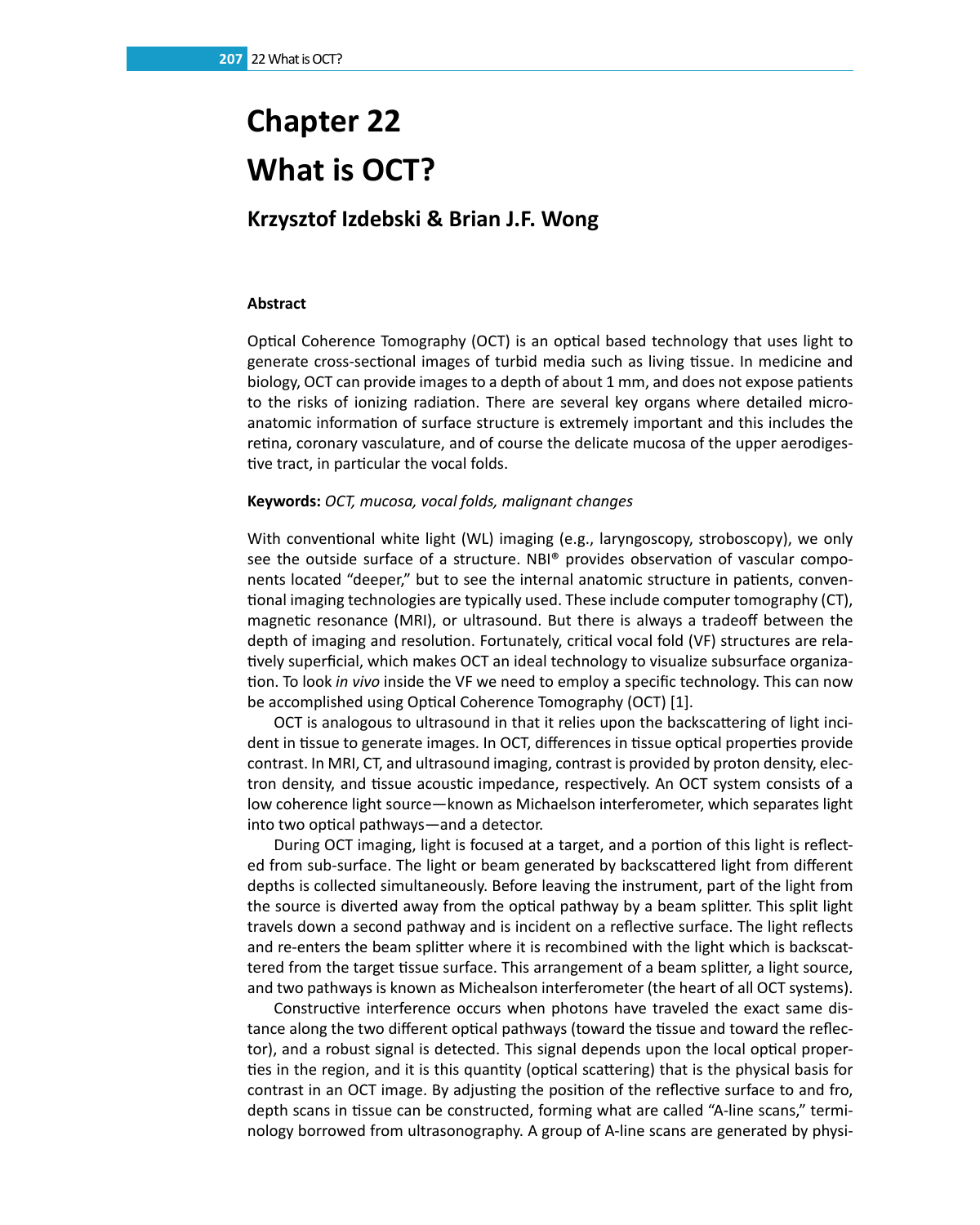# **Chapter 22 What is OCT?**

# **Krzysztof Izdebski & Brian J.F. Wong**

## **Abstract**

Optical Coherence Tomography (OCT) is an optical based technology that uses light to generate cross-sectional images of turbid media such as living tissue. In medicine and biology, OCT can provide images to a depth of about 1 mm, and does not expose patients to the risks of ionizing radiation. There are several key organs where detailed microanatomic information of surface structure is extremely important and this includes the retina, coronary vasculature, and of course the delicate mucosa of the upper aerodigestive tract, in particular the vocal folds.

### **Keywords:** *OCT, mucosa, vocal folds, malignant changes*

With conventional white light (WL) imaging (e.g., laryngoscopy, stroboscopy), we only see the outside surface of a structure. NBI® provides observation of vascular components located "deeper," but to see the internal anatomic structure in patients, conventional imaging technologies are typically used. These include computer tomography (CT), magnetic resonance (MRI), or ultrasound. But there is always a tradeoff between the depth of imaging and resolution. Fortunately, critical vocal fold (VF) structures are relatively superficial, which makes OCT an ideal technology to visualize subsurface organization. To look *in vivo* inside the VF we need to employ a specific technology. This can now be accomplished using Optical Coherence Tomography (OCT) [1].

OCT is analogous to ultrasound in that it relies upon the backscattering of light incident in tissue to generate images. In OCT, differences in tissue optical properties provide contrast. In MRI, CT, and ultrasound imaging, contrast is provided by proton density, electron density, and tissue acoustic impedance, respectively. An OCT system consists of a low coherence light source—known as Michaelson interferometer, which separates light into two optical pathways—and a detector.

During OCT imaging, light is focused at a target, and a portion of this light is reflected from sub-surface. The light or beam generated by backscattered light from different depths is collected simultaneously. Before leaving the instrument, part of the light from the source is diverted away from the optical pathway by a beam splitter. This split light travels down a second pathway and is incident on a reflective surface. The light reflects and re-enters the beam splitter where it is recombined with the light which is backscattered from the target tissue surface. This arrangement of a beam splitter, a light source, and two pathways is known as Michealson interferometer (the heart of all OCT systems).

Constructive interference occurs when photons have traveled the exact same distance along the two different optical pathways (toward the tissue and toward the reflector), and a robust signal is detected. This signal depends upon the local optical properties in the region, and it is this quantity (optical scattering) that is the physical basis for contrast in an OCT image. By adjusting the position of the reflective surface to and fro, depth scans in tissue can be constructed, forming what are called "A-line scans," terminology borrowed from ultrasonography. A group of A-line scans are generated by physi